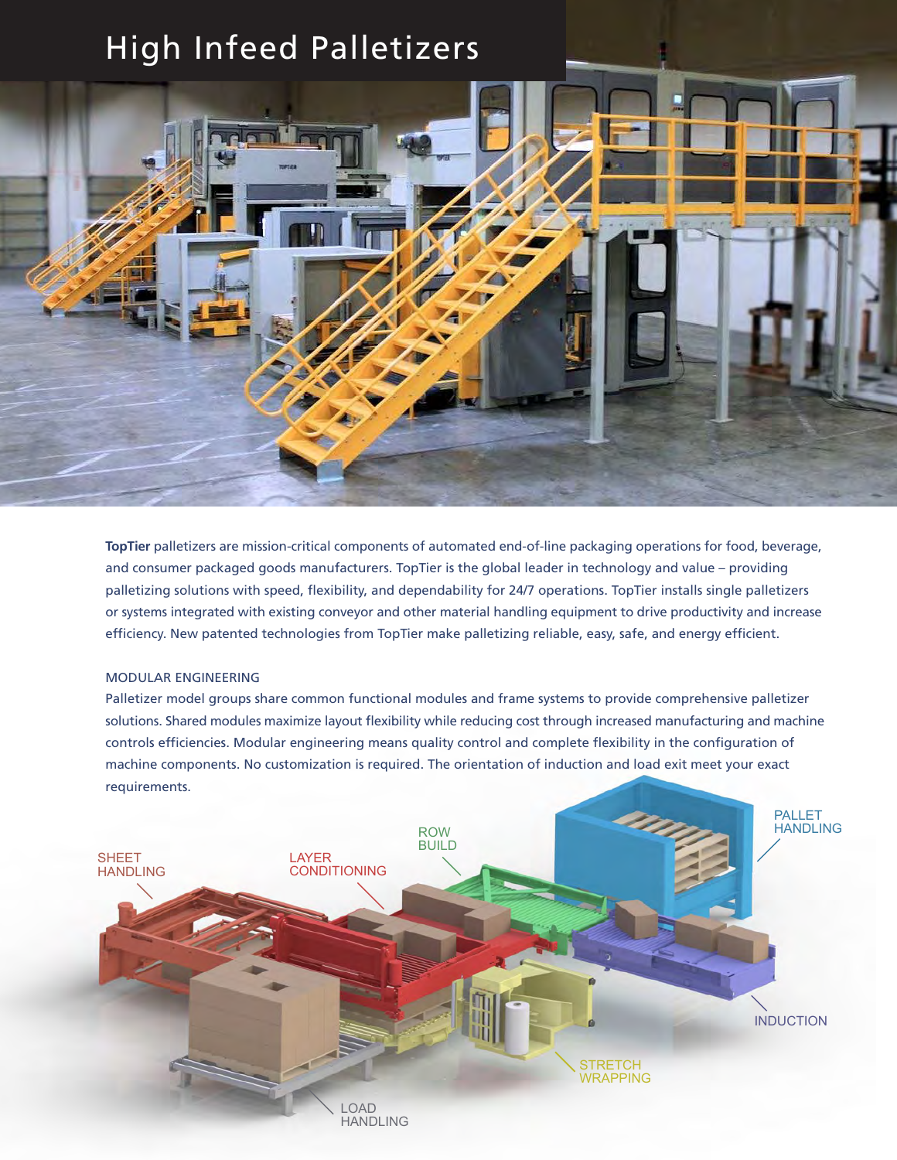# High Infeed Palletizers



**TopTier** palletizers are mission-critical components of automated end-of-line packaging operations for food, beverage, and consumer packaged goods manufacturers. TopTier is the global leader in technology and value – providing palletizing solutions with speed, flexibility, and dependability for 24/7 operations. TopTier installs single palletizers or systems integrated with existing conveyor and other material handling equipment to drive productivity and increase efficiency. New patented technologies from TopTier make palletizing reliable, easy, safe, and energy efficient.

#### MODULAR ENGINEERING

Palletizer model groups share common functional modules and frame systems to provide comprehensive palletizer solutions. Shared modules maximize layout flexibility while reducing cost through increased manufacturing and machine controls efficiencies. Modular engineering means quality control and complete flexibility in the configuration of machine components. No customization is required. The orientation of induction and load exit meet your exact requirements.